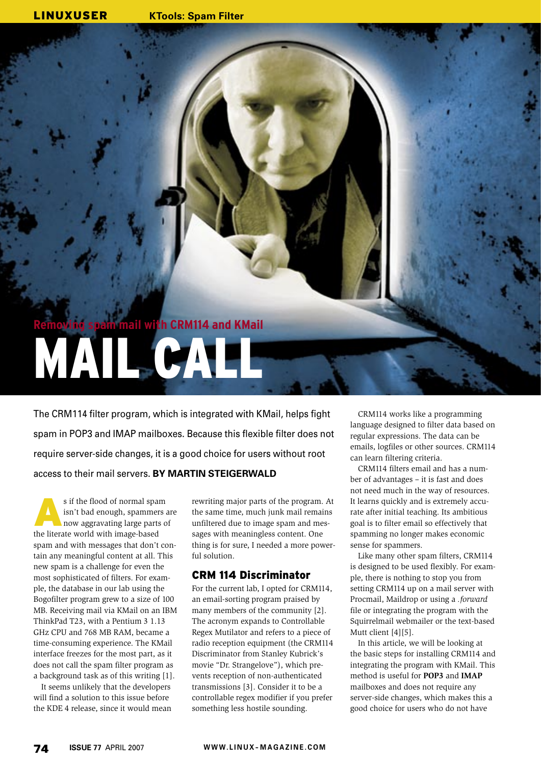# **Removing spam mail with CRM114 and KMail** MAIL CALL

The CRM114 filter program, which is integrated with KMail, helps fight spam in POP3 and IMAP mailboxes. Because this flexible filter does not require server-side changes, it is a good choice for users without root access to their mail servers. **BY MARTIN STEIGERWALD**

s if the flood of normal spam<br>
isn't bad enough, spammers are<br>
now aggravating large parts of isn't bad enough, spammers are the literate world with image-based spam and with messages that don't contain any meaningful content at all. This new spam is a challenge for even the most sophisticated of filters. For example, the database in our lab using the Bogofilter program grew to a size of 100 MB. Receiving mail via KMail on an IBM ThinkPad T23, with a Pentium 3 1.13 GHz CPU and 768 MB RAM, became a time-consuming experience. The KMail interface freezes for the most part, as it does not call the spam filter program as a background task as of this writing [1].

It seems unlikely that the developers will find a solution to this issue before the KDE 4 release, since it would mean rewriting major parts of the program. At the same time, much junk mail remains unfiltered due to image spam and messages with meaningless content. One thing is for sure, I needed a more powerful solution.

# CRM 114 Discriminator

For the current lab, I opted for CRM114, an email-sorting program praised by many members of the community [2]. The acronym expands to Controllable Regex Mutilator and refers to a piece of radio reception equipment (the CRM114 Discriminator from Stanley Kubrick's movie "Dr. Strangelove"), which prevents reception of non-authenticated transmissions [3]. Consider it to be a controllable regex modifier if you prefer something less hostile sounding.

CRM114 works like a programming language designed to filter data based on regular expressions. The data can be emails, logfiles or other sources. CRM114 can learn filtering criteria.

CRM114 filters email and has a number of advantages – it is fast and does not need much in the way of resources. It learns quickly and is extremely accurate after initial teaching. Its ambitious goal is to filter email so effectively that spamming no longer makes economic sense for spammers.

Like many other spam filters, CRM114 is designed to be used flexibly. For example, there is nothing to stop you from setting CRM114 up on a mail server with Procmail, Maildrop or using a *.forward* file or integrating the program with the Squirrelmail webmailer or the text-based Mutt client [4][5].

In this article, we will be looking at the basic steps for installing CRM114 and integrating the program with KMail. This method is useful for **POP3** and **IMAP** mailboxes and does not require any server-side changes, which makes this a good choice for users who do not have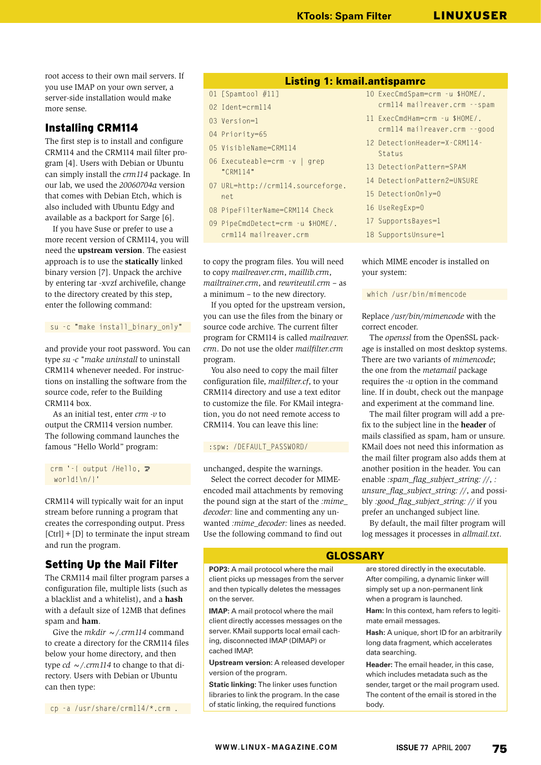root access to their own mail servers. If you use IMAP on your own server, a server-side installation would make more sense.

# Installing CRM114

The first step is to install and configure CRM114 and the CRM114 mail filter program [4]. Users with Debian or Ubuntu can simply install the *crm114* package. In our lab, we used the *20060704a* version that comes with Debian Etch, which is also included with Ubuntu Edgy and available as a backport for Sarge [6].

If you have Suse or prefer to use a more recent version of CRM114, you will need the **upstream version**. The easiest approach is to use the **statically** linked binary version [7]. Unpack the archive by entering tar -xvzf archivefile, change to the directory created by this step, enter the following command:

su -c "make install binary only"

and provide your root password. You can type *su -c "make uninstall* to uninstall CRM114 whenever needed. For instructions on installing the software from the source code, refer to the Building CRM114 box.

As an initial test, enter *crm -v* to output the CRM114 version number. The following command launches the famous "Hello World" program:

crm  $'-$ { output /Hello,  $\mathbb{Z}$ world!\n/}'

CRM114 will typically wait for an input stream before running a program that creates the corresponding output. Press  $[Ctrl] + [D]$  to terminate the input stream and run the program.

# Setting Up the Mail Filter

The CRM114 mail filter program parses a configuration file, multiple lists (such as a blacklist and a whitelist), and a **hash** with a default size of 12MB that defines spam and **ham**.

Give the  $m$ *kdir*  $\sim$  /.crm114 command to create a directory for the CRM114 files below your home directory, and then type *cd ~/.crm114* to change to that directory. Users with Debian or Ubuntu can then type:

cp -a /usr/share/crm114/\*.crm .

## Listing 1: kmail.antispamrc

- 01 [Spamtool #11]
- 02 Ident=crm114 03 Version=1
- 04 Priority=65
- 05 VisibleName=CRM114
- 06 Executeable=crm -v | grep "CRM114"
- 07 URL=http://crm114.sourceforge. net
- 08 PipeFilterName=CRM114 Check
- 09 PipeCmdDetect=crm -u \$HOME/. crm114 mailreaver.crm

to copy the program files. You will need to copy *mailreaver.crm*, *maillib.crm*, *mailtrainer.crm*, and *rewriteutil.crm* – as a minimum – to the new directory.

If you opted for the upstream version, you can use the files from the binary or source code archive. The current filter program for CRM114 is called *mailreaver. crm*. Do not use the older *mailfilter.crm* program.

You also need to copy the mail filter configuration file, *mailfilter.cf*, to your CRM114 directory and use a text editor to customize the file. For KMail integration, you do not need remote access to CRM114. You can leave this line:

#### : spw: /DEFAULT\_PASSWORD/

unchanged, despite the warnings.

Select the correct decoder for MIMEencoded mail attachments by removing the pound sign at the start of the *:mime\_ decoder:* line and commenting any unwanted *:mime\_decoder:* lines as needed. Use the following command to find out

**POP3:** A mail protocol where the mail client picks up messages from the server and then typically deletes the messages

**IMAP:** A mail protocol where the mail client directly accesses messages on the server. KMail supports local email caching, disconnected IMAP (DIMAP) or

**Upstream version:** A released developer

**Static linking:** The linker uses function libraries to link the program. In the case of static linking, the required functions

on the server.

cached IMAP.

version of the program.

- 10 ExecCmdSpam=crm -u \$HOME/. crm114 mailreaver.crm --spam 11 ExecCmdHam=crm -u \$HOME/. crm114 mailreaver.crm --good 12 DetectionHeader=X-CRM114- Status 13 DetectionPattern=SPAM 14 DetectionPattern2=UNSURE 15 DetectionOnly=0
- 16 UseRegExp=0
- 17 SupportsBayes=1
- 18 SupportsUnsure=1

## which MIME encoder is installed on your system:

#### which /usr/bin/mimencode

Replace */usr/bin/mimencode* with the correct encoder.

The *openssl* from the OpenSSL package is installed on most desktop systems. There are two variants of *mimencode*; the one from the *metamail* package requires the *-u* option in the command line. If in doubt, check out the manpage and experiment at the command line.

The mail filter program will add a prefix to the subject line in the **header** of mails classified as spam, ham or unsure. KMail does not need this information as the mail filter program also adds them at another position in the header. You can enable *:spam\_flag\_subject\_string: //*, *: unsure\_flag\_subject\_string: //*, and possibly *:good\_flag\_subject\_string: //* if you prefer an unchanged subject line.

By default, the mail filter program will log messages it processes in *allmail.txt*.

## GLOSSARY

are stored directly in the executable. After compiling, a dynamic linker will simply set up a non-permanent link when a program is launched.

**Ham:** In this context, ham refers to legitimate email messages.

**Hash:** A unique, short ID for an arbitrarily long data fragment, which accelerates data searching.

**Header:** The email header, in this case, which includes metadata such as the sender, target or the mail program used. The content of the email is stored in the body.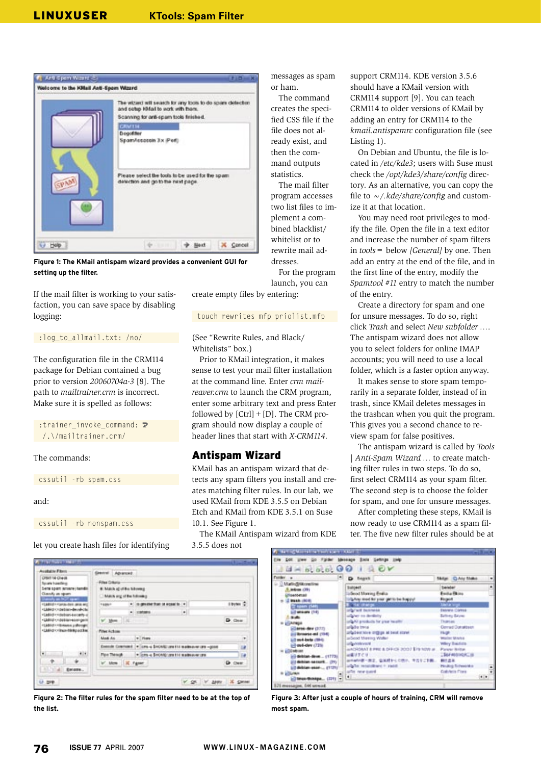

**Figure 1: The KMail antispam wizard provides a convenient GUI for setting up the filter.**

If the mail filter is working to your satisfaction, you can save space by disabling logging:

#### :log\_to\_allmail.txt: /no/

The configuration file in the CRM114 package for Debian contained a bug prior to version *20060704a-3* [8]. The path to *mailtrainer.crm* is incorrect. Make sure it is spelled as follows:

:trainer invoke command:  $\triangleright$ /.\/mailtrainer.crm/

The commands:

```
cssutil - rb spam.css
```
and:

cssutil -rb nonspam.css

let you create hash files for identifying



**Figure 2: The filter rules for the spam filter need to be at the top of the list.**

messages as spam or ham.

The command creates the specified CSS file if the file does not already exist, and then the command outputs statistics. The mail filter

program accesses two list files to implement a combined blacklist/ whitelist or to rewrite mail addresses.

For the program launch, you can

create empty files by entering:

## touch rewrites mfp priolist.mfp

(See "Rewrite Rules, and Black/ Whitelists" box.)

Prior to KMail integration, it makes sense to test your mail filter installation at the command line. Enter *crm mailreaver.crm* to launch the CRM program, enter some arbitrary text and press Enter followed by  $[Ctrl] + [D]$ . The CRM program should now display a couple of header lines that start with *X-CRM114*.

# Antispam Wizard

KMail has an antispam wizard that detects any spam filters you install and creates matching filter rules. In our lab, we used KMail from KDE 3.5.5 on Debian Etch and KMail from KDE 3.5.1 on Suse 10.1. See Figure 1.

The KMail Antispam wizard from KDE

3.5.5 does not

support CRM114. KDE version 3.5.6 should have a KMail version with CRM114 support [9]. You can teach CRM114 to older versions of KMail by adding an entry for CRM114 to the *kmail.antispamrc* configuration file (see Listing 1).

On Debian and Ubuntu, the file is located in */etc/kde3*; users with Suse must check the */opt/kde3/share/config* directory. As an alternative, you can copy the file to *~/.kde/share/config* and customize it at that location.

You may need root privileges to modify the file. Open the file in a text editor and increase the number of spam filters in *tools=* below *[General]* by one. Then add an entry at the end of the file, and in the first line of the entry, modify the *Spamtool #11* entry to match the number of the entry.

Create a directory for spam and one for unsure messages. To do so, right click *Trash* and select *New subfolder …*. The antispam wizard does not allow you to select folders for online IMAP accounts; you will need to use a local folder, which is a faster option anyway.

It makes sense to store spam temporarily in a separate folder, instead of in trash, since KMail deletes messages in the trashcan when you quit the program. This gives you a second chance to review spam for false positives.

The antispam wizard is called by *Tools* | *Anti-Spam Wizard …* to create matching filter rules in two steps. To do so, first select CRM114 as your spam filter. The second step is to choose the folder for spam, and one for unsure messages.

After completing these steps, KMail is now ready to use CRM114 as a spam filter. The five new filter rules should be at

| Fulder <sub>e</sub>          | $1 + 60000100$<br>D. Search                              | Skillan   Children Shakes |      |
|------------------------------|----------------------------------------------------------|---------------------------|------|
| <b>USA Big BARonestone</b>   |                                                          |                           |      |
| <b>R. Millions</b> (201)     | <b>Subpect</b>                                           | <b>Seletel</b>            | ٠    |
| <b>ISBN 01445</b>            | Lidered Moreing Bealta                                   | <b>Exchange</b>           |      |
| To branch (militim)          | TripAny modifier your get to be hoppy?                   | Region                    |      |
| To name (Sale)               | <b>B. TACOMISC</b>                                       | <b>SAN A VIDA</b>         |      |
| Lifemann (14)                | <b>US Twiff Business</b>                                 | <b>Detroit Clima</b>      |      |
| <b>North</b>                 | solution to develop                                      | <b>Baltima Bayne</b>      |      |
| <b>CAreps</b>                | and AV products for your leaster                         | <b>Thomas</b>             |      |
| Glares day (377)             | urbate tress                                             | Cerrad DataBash           |      |
| (101) line sewered (194)     | angeben tine origins at best stand.                      | <b>Flugh 11</b>           |      |
| Lill sa 4-bets (194).        | arboat Meeing Waller                                     | Walter Market             |      |
| all est-dev (73%)            | arts with your                                           | <b>Wiley Baidets</b>      |      |
| - <i>EDMIAN</i>              | AADRONAT & PRO & DIRICH 2007 \$79 NOW at  Parent Niltan. |                           |      |
| (4) detailed direct  (1773). | 出版けすぐり                                                   | 160000000                 |      |
| (ii) debian-securit (21)     | 山中神が着一直言、容易経からの性が、考古をご事題                                 | 神社高半                      |      |
| LD debian asset  (1121)      | and its receivable of the con-                           | Holing Schooler           |      |
| <b>In all Surveys</b>        | who new quest                                            | Gabhela Finne             |      |
| (c) Map Bridge  (371) 7      | 用品                                                       |                           | $+1$ |

**Figure 3: After just a couple of hours of training, CRM will remove most spam.**